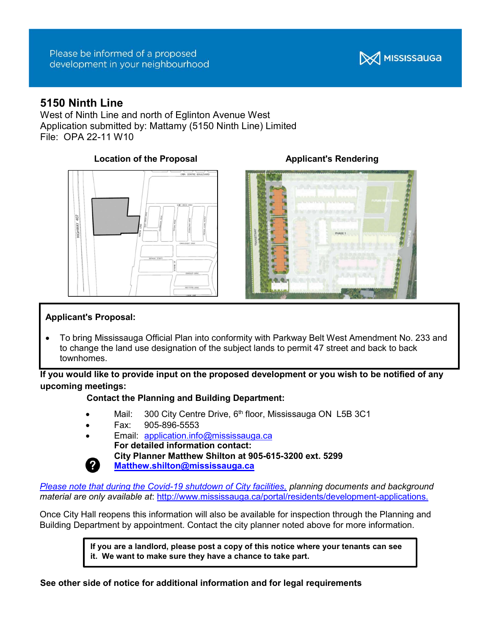

# 5150 Ninth Line

West of Ninth Line and north of Eglinton Avenue West Application submitted by: Mattamy (5150 Ninth Line) Limited File: OPA 22-11 W10

# Location of the Proposal **Applicant's Rendering**





## Applicant's Proposal:

 To bring Mississauga Official Plan into conformity with Parkway Belt West Amendment No. 233 and to change the land use designation of the subject lands to permit 47 street and back to back townhomes.

### If you would like to provide input on the proposed development or you wish to be notified of any upcoming meetings:

### Contact the Planning and Building Department:

- Mail: 300 City Centre Drive, 6<sup>th</sup> floor, Mississauga ON L5B 3C1
- Fax: 905-896-5553
- Email: application.info@mississauga.ca For detailed information contact: City Planner Matthew Shilton at 905-615-3200 ext. 5299 Matthew.shilton@mississauga.ca

Please note that during the Covid-19 shutdown of City facilities, planning documents and background material are only available at: http://www.mississauga.ca/portal/residents/development-applications.

Once City Hall reopens this information will also be available for inspection through the Planning and Building Department by appointment. Contact the city planner noted above for more information.

> If you are a landlord, please post a copy of this notice where your tenants can see it. We want to make sure they have a chance to take part.

See other side of notice for additional information and for legal requirements